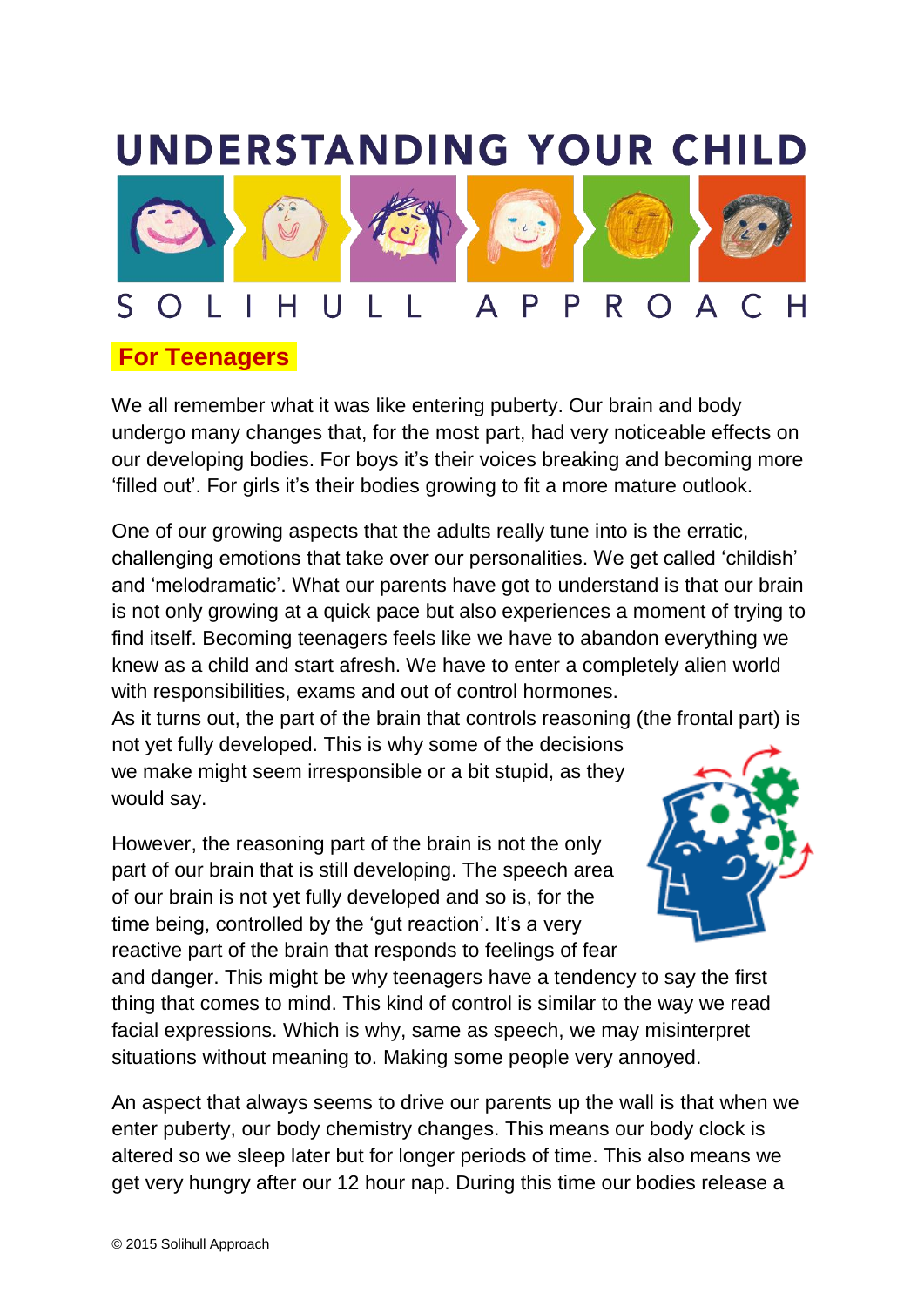## **UNDERSTANDING YOUR CHILD**



## **For Teenagers.**

We all remember what it was like entering puberty. Our brain and body undergo many changes that, for the most part, had very noticeable effects on our developing bodies. For boys it's their voices breaking and becoming more 'filled out'. For girls it's their bodies growing to fit a more mature outlook.

One of our growing aspects that the adults really tune into is the erratic, challenging emotions that take over our personalities. We get called 'childish' and 'melodramatic'. What our parents have got to understand is that our brain is not only growing at a quick pace but also experiences a moment of trying to find itself. Becoming teenagers feels like we have to abandon everything we knew as a child and start afresh. We have to enter a completely alien world with responsibilities, exams and out of control hormones.

As it turns out, the part of the brain that controls reasoning (the frontal part) is not yet fully developed. This is why some of the decisions we make might seem irresponsible or a bit stupid, as they would say.

However, the reasoning part of the brain is not the only part of our brain that is still developing. The speech area of our brain is not yet fully developed and so is, for the time being, controlled by the 'gut reaction'. It's a very reactive part of the brain that responds to feelings of fear



and danger. This might be why teenagers have a tendency to say the first thing that comes to mind. This kind of control is similar to the way we read facial expressions. Which is why, same as speech, we may misinterpret situations without meaning to. Making some people very annoyed.

An aspect that always seems to drive our parents up the wall is that when we enter puberty, our body chemistry changes. This means our body clock is altered so we sleep later but for longer periods of time. This also means we get very hungry after our 12 hour nap. During this time our bodies release a